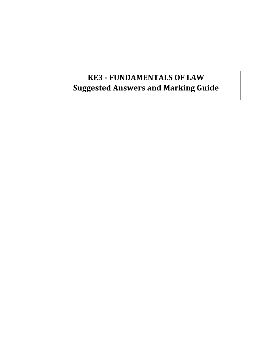# **KE3 - FUNDAMENTALS OF LAW Suggested Answers and Marking Guide**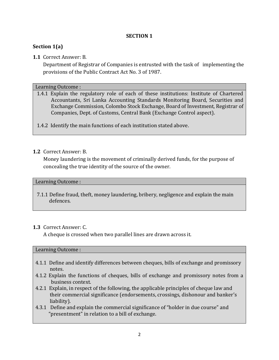# **SECTION 1**

# **Section 1(a)**

# **1.1** Correct Answer: B.

Department of Registrar of Companies is entrusted with the task of implementing the provisions of the Public Contract Act No. 3 of 1987.

# Learning Outcome :

1.4.1 Explain the regulatory role of each of these institutions: Institute of Chartered Accountants, Sri Lanka Accounting Standards Monitoring Board, Securities and Exchange Commission, Colombo Stock Exchange, Board of Investment, Registrar of Companies, Dept. of Customs, Central Bank (Exchange Control aspect).

1.4.2 Identify the main functions of each institution stated above.

# **1.2** Correct Answer: B.

Money laundering is the movement of criminally derived funds, for the purpose of concealing the true identity of the source of the owner.

# Learning Outcome :

7.1.1 Define fraud, theft, money laundering, bribery, negligence and explain the main defences.

# **1.3** Correct Answer: C.

A cheque is crossed when two parallel lines are drawn across it.

# Learning Outcome :

- 4.1.1 Define and identify differences between cheques, bills of exchange and promissory notes.
- 4.1.2 Explain the functions of cheques, bills of exchange and promissory notes from a business context.
- 4.2.1 Explain, in respect of the following, the applicable principles of cheque law and their commercial significance (endorsements, crossings, dishonour and banker's liability).
- 4.3.1 Define and explain the commercial significance of "holder in due course" and "presentment" in relation to a bill of exchange.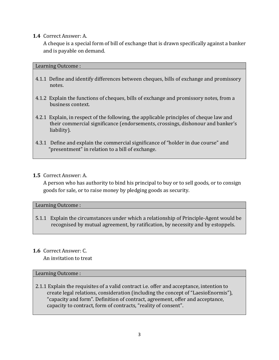# **1.4** Correct Answer: A.

A cheque is a special form of bill of exchange that is drawn specifically against a banker and is payable on demand.

# Learning Outcome :

- 4.1.1 Define and identify differences between cheques, bills of exchange and promissory notes.
- 4.1.2 Explain the functions of cheques, bills of exchange and promissory notes, from a business context.
- 4.2.1 Explain, in respect of the following, the applicable principles of cheque law and their commercial significance (endorsements, crossings, dishonour and banker's liability).
- 4.3.1 Define and explain the commercial significance of "holder in due course" and "presentment" in relation to a bill of exchange.

# **1.5** Correct Answer: A.

A person who has authority to bind his principal to buy or to sell goods, or to consign goods for sale, or to raise money by pledging goods as security.

# Learning Outcome :

5.1.1 Explain the circumstances under which a relationship of Principle-Agent would be recognised by mutual agreement, by ratification, by necessity and by estoppels.

# **1.6** Correct Answer: C.

An invitation to treat

# Learning Outcome :

2.1.1 Explain the requisites of a valid contract i.e. offer and acceptance, intention to create legal relations, consideration (including the concept of "LaesioEnormis"), "capacity and form". Definition of contract, agreement, offer and acceptance, capacity to contract, form of contracts, "reality of consent".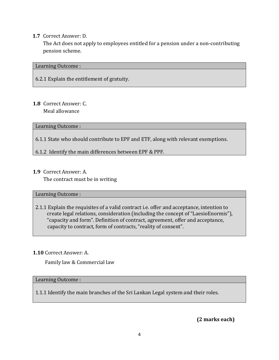# **1.7** Correct Answer: D.

The Act does not apply to employees entitled for a pension under a non-contributing pension scheme.

#### Learning Outcome :

6.2.1 Explain the entitlement of gratuity.

#### **1.8** Correct Answer: C. Meal allowance

Learning Outcome :

- 6.1.1 State who should contribute to EPF and ETF, along with relevant exemptions.
- 6.1.2 Identify the main differences between EPF & PPF.
- **1.9** Correct Answer: A.

The contract must be in writing

# Learning Outcome :

2.1.1 Explain the requisites of a valid contract i.e. offer and acceptance, intention to create legal relations, consideration (including the concept of "LaesioEnormis"), "capacity and form". Definition of contract, agreement, offer and acceptance, capacity to contract, form of contracts, "reality of consent".

# **1.10** Correct Answer: A.

Family law & Commercial law

#### Learning Outcome :

1.1.1 Identify the main branches of the Sri Lankan Legal system and their roles.

**(2 marks each)**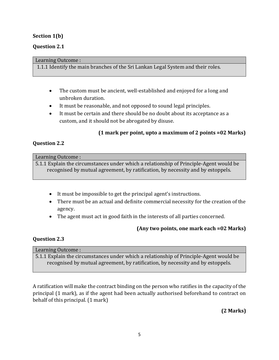# **Section 1(b)**

# **Question 2.1**

#### Learning Outcome :

1.1.1 Identify the main branches of the Sri Lankan Legal System and their roles.

- The custom must be ancient, well-established and enjoyed for a long and unbroken duration.
- It must be reasonable, and not opposed to sound legal principles.
- It must be certain and there should be no doubt about its acceptance as a custom, and it should not be abrogated by disuse.

# **(1 mark per point, upto a maximum of 2 points =02 Marks)**

# **Question 2.2**

#### Learning Outcome :

5.1.1 Explain the circumstances under which a relationship of Principle-Agent would be recognised by mutual agreement, by ratification, by necessity and by estoppels.

- It must be impossible to get the principal agent's instructions.
- There must be an actual and definite commercial necessity for the creation of the agency.
- The agent must act in good faith in the interests of all parties concerned.

# **(Any two points, one mark each =02 Marks)**

# **Question 2.3**

| Learning Outcome :                                                                     |
|----------------------------------------------------------------------------------------|
| 5.1.1 Explain the circumstances under which a relationship of Principle-Agent would be |
| recognised by mutual agreement, by ratification, by necessity and by estoppels.        |

A ratification will make the contract binding on the person who ratifies in the capacity of the principal (1 mark), as if the agent had been actually authorised beforehand to contract on behalf of this principal. (1 mark)

**(2 Marks)**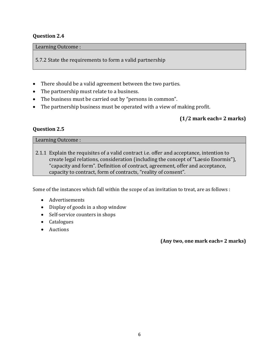# **Question 2.4**

#### Learning Outcome :

5.7.2 State the requirements to form a valid partnership

- There should be a valid agreement between the two parties.
- The partnership must relate to a business.
- The business must be carried out by "persons in common".
- The partnership business must be operated with a view of making profit.

# **(1/2 mark each= 2 marks)**

# **Question 2.5**

Learning Outcome :

2.1.1 Explain the requisites of a valid contract i.e. offer and acceptance, intention to create legal relations, consideration (including the concept of "Laesio Enormis"), "capacity and form". Definition of contract, agreement, offer and acceptance, capacity to contract, form of contracts, "reality of consent".

Some of the instances which fall within the scope of an invitation to treat, are as follows :

- Advertisements
- Display of goods in a shop window
- Self-service counters in shops
- Catalogues
- Auctions

**(Any two, one mark each= 2 marks)**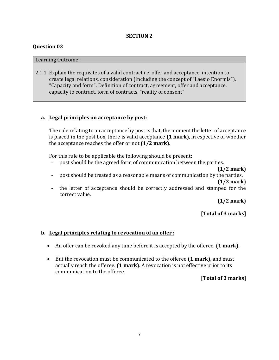#### **SECTION 2**

#### **Question 03**

#### Learning Outcome :

2.1.1 Explain the requisites of a valid contract i.e. offer and acceptance, intention to create legal relations, consideration (including the concept of "Laesio Enormis"), "Capacity and form". Definition of contract, agreement, offer and acceptance, capacity to contract, form of contracts, "reality of consent"

# **a. Legal principles on acceptance by post:**

The rule relating to an acceptance by post is that, the moment the letter of acceptance is placed in the post box, there is valid acceptance **(1 mark)**, irrespective of whether the acceptance reaches the offer or not **(1/2 mark).**

For this rule to be applicable the following should be present:

- post should be the agreed form of communication between the parties.
- **(1/2 mark)** - post should be treated as a reasonable means of communication by the parties. **(1/2 mark)**
- the letter of acceptance should be correctly addressed and stamped for the correct value.

**(1/2 mark)**

**[Total of 3 marks]**

# **b. Legal principles relating to revocation of an offer :**

- An offer can be revoked any time before it is accepted by the offeree. **(1 mark).**
- But the revocation must be communicated to the offeree **(1 mark),** and must actually reach the offeree. **(1 mark)**. A revocation is not effective prior to its communication to the offeree.

#### **[Total of 3 marks]**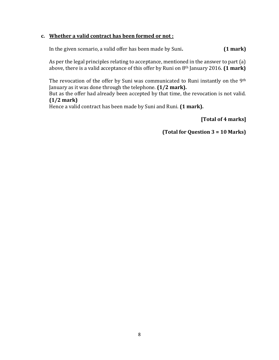# **c. Whether a valid contract has been formed or not :**

In the given scenario, a valid offer has been made by Suni**. (1 mark)** 

As per the legal principles relating to acceptance, mentioned in the answer to part (a) above, there is a valid acceptance of this offer by Runi on 8th January 2016. **(1 mark)**

The revocation of the offer by Suni was communicated to Runi instantly on the 9<sup>th</sup> January as it was done through the telephone. **(1/2 mark).**

But as the offer had already been accepted by that time, the revocation is not valid. **(1/2 mark)**

Hence a valid contract has been made by Suni and Runi. **(1 mark).**

**[Total of 4 marks]**

**(Total for Question 3 = 10 Marks)**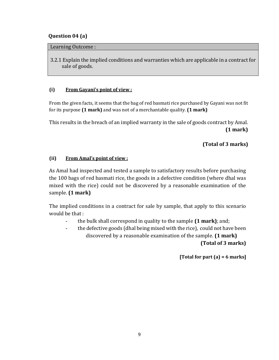# **Question 04 (a)**

#### Learning Outcome :

3.2.1 Explain the implied conditions and warranties which are applicable in a contract for sale of goods.

# **(i) From Gayani's point of view :**

From the given facts, it seems that the bag of red basmati rice purchased by Gayani was not fit for its purpose **(1 mark)** and was not of a merchantable quality. **(1 mark)** 

This results in the breach of an implied warranty in the sale of goods contract by Amal. **(1 mark)** 

# **(Total of 3 marks)**

# **(ii) From Amal's point of view :**

As Amal had inspected and tested a sample to satisfactory results before purchasing the 100 bags of red basmati rice, the goods in a defective condition (where dhal was mixed with the rice) could not be discovered by a reasonable examination of the sample. **(1 mark)** 

The implied conditions in a contract for sale by sample, that apply to this scenario would be that :

- the bulk shall correspond in quality to the sample **(1 mark)**; and;
- the defective goods (dhal being mixed with the rice), could not have been discovered by a reasonable examination of the sample. **(1 mark) (Total of 3 marks)**

**[Total for part (a) = 6 marks]**